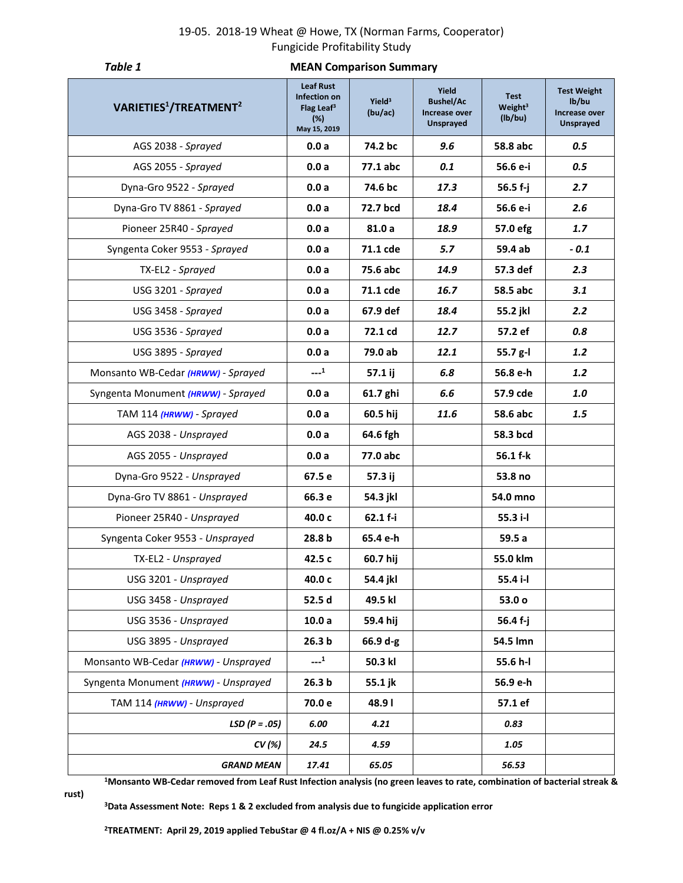## 19-05. 2018-19 Wheat @ Howe, TX (Norman Farms, Cooperator) Fungicide Profitability Study

| Table 1                                        | <b>MEAN Comparison Summary</b>                                                    |                               |                                                         |                                               |                                                                  |  |  |  |  |  |  |  |  |
|------------------------------------------------|-----------------------------------------------------------------------------------|-------------------------------|---------------------------------------------------------|-----------------------------------------------|------------------------------------------------------------------|--|--|--|--|--|--|--|--|
| VARIETIES <sup>1</sup> /TREATMENT <sup>2</sup> | <b>Leaf Rust</b><br>Infection on<br>Flag Leaf <sup>3</sup><br>(%)<br>May 15, 2019 | Yield <sup>3</sup><br>(bu/ac) | Yield<br><b>Bushel/Ac</b><br>Increase over<br>Unsprayed | <b>Test</b><br>Weight <sup>3</sup><br>(lb/bu) | <b>Test Weight</b><br>lb/bu<br>Increase over<br><b>Unsprayed</b> |  |  |  |  |  |  |  |  |
| AGS 2038 - Sprayed                             | 0.0a                                                                              | 74.2 bc                       | 9.6                                                     | 58.8 abc                                      | 0.5                                                              |  |  |  |  |  |  |  |  |
| AGS 2055 - Sprayed                             | 0.0a                                                                              | 77.1 abc                      | 0.1                                                     | 56.6 e-i                                      | 0.5                                                              |  |  |  |  |  |  |  |  |
| Dyna-Gro 9522 - Sprayed                        | 0.0a                                                                              | 74.6 bc                       | 17.3                                                    | 56.5 f-j                                      | 2.7                                                              |  |  |  |  |  |  |  |  |
| Dyna-Gro TV 8861 - Sprayed                     | 0.0a                                                                              | 72.7 bcd                      | 56.6 e-i                                                | 2.6                                           |                                                                  |  |  |  |  |  |  |  |  |
| Pioneer 25R40 - Sprayed                        | 0.0a                                                                              | 81.0 a                        | 18.9                                                    | 57.0 efg                                      | 1.7                                                              |  |  |  |  |  |  |  |  |
| Syngenta Coker 9553 - Sprayed                  | 0.0a                                                                              | 71.1 cde                      | 5.7                                                     | 59.4 ab                                       | $-0.1$                                                           |  |  |  |  |  |  |  |  |
| TX-EL2 - Sprayed                               | 0.0a                                                                              | 75.6 abc                      | 14.9                                                    | 57.3 def                                      | 2.3                                                              |  |  |  |  |  |  |  |  |
| USG 3201 - Sprayed                             | 0.0a                                                                              | 71.1 cde                      | 16.7                                                    | 3.1<br>58.5 abc                               |                                                                  |  |  |  |  |  |  |  |  |
| USG 3458 - Sprayed                             | 0.0a                                                                              | 67.9 def                      | 18.4                                                    | 2.2<br>55.2 jkl                               |                                                                  |  |  |  |  |  |  |  |  |
| USG 3536 - Sprayed                             | 0.0a                                                                              | 72.1 cd                       | 12.7                                                    | 57.2 ef<br>0.8                                |                                                                  |  |  |  |  |  |  |  |  |
| USG 3895 - Sprayed                             | 0.0a                                                                              | 79.0 ab                       | 12.1                                                    | 1.2<br>55.7 g-l                               |                                                                  |  |  |  |  |  |  |  |  |
| Monsanto WB-Cedar (HRWW) - Sprayed             | $---1$                                                                            | 57.1 ij                       | 6.8                                                     | 56.8 e-h                                      | 1.2                                                              |  |  |  |  |  |  |  |  |
| Syngenta Monument (HRWW) - Sprayed             | 0.0a                                                                              | 61.7 ghi                      | 6.6                                                     | 57.9 cde                                      | 1.0                                                              |  |  |  |  |  |  |  |  |
| TAM 114 (HRWW) - Sprayed                       | 0.0a                                                                              | 60.5 hij                      | 11.6                                                    | 58.6 abc                                      | 1.5                                                              |  |  |  |  |  |  |  |  |
| AGS 2038 - Unsprayed                           | 0.0a                                                                              | 64.6 fgh                      |                                                         | 58.3 bcd                                      |                                                                  |  |  |  |  |  |  |  |  |
| AGS 2055 - Unsprayed                           | 0.0a                                                                              | 77.0 abc                      |                                                         | 56.1 f-k                                      |                                                                  |  |  |  |  |  |  |  |  |
| Dyna-Gro 9522 - Unsprayed                      | 67.5 e                                                                            | 57.3 ij                       |                                                         | 53.8 no                                       |                                                                  |  |  |  |  |  |  |  |  |
| Dyna-Gro TV 8861 - Unsprayed                   | 66.3 e                                                                            | 54.3 jkl                      |                                                         | 54.0 mno                                      |                                                                  |  |  |  |  |  |  |  |  |
| Pioneer 25R40 - Unsprayed                      | 40.0 c                                                                            | 62.1 f-i                      |                                                         | 55.3 i-l                                      |                                                                  |  |  |  |  |  |  |  |  |
| Syngenta Coker 9553 - Unsprayed                | 28.8 b                                                                            | 65.4 e-h                      |                                                         | 59.5a                                         |                                                                  |  |  |  |  |  |  |  |  |
| TX-EL2 - Unsprayed                             | 42.5 c                                                                            | 60.7 hij                      |                                                         | 55.0 klm                                      |                                                                  |  |  |  |  |  |  |  |  |
| USG 3201 - Unsprayed                           | 40.0 c                                                                            | 54.4 jkl                      |                                                         | 55.4 i-l                                      |                                                                  |  |  |  |  |  |  |  |  |
| USG 3458 - Unsprayed                           | 52.5 d                                                                            | 49.5 kl                       |                                                         | 53.0 o                                        |                                                                  |  |  |  |  |  |  |  |  |
| USG 3536 - Unsprayed                           | 10.0a                                                                             | 59.4 hij                      |                                                         | 56.4 f-j                                      |                                                                  |  |  |  |  |  |  |  |  |
| USG 3895 - Unsprayed                           | 26.3 <sub>b</sub>                                                                 | 66.9 d-g                      |                                                         | 54.5 lmn                                      |                                                                  |  |  |  |  |  |  |  |  |
| Monsanto WB-Cedar (HRWW) - Unsprayed           | $---1$                                                                            | 50.3 kl                       |                                                         | 55.6 h-l                                      |                                                                  |  |  |  |  |  |  |  |  |
| Syngenta Monument (HRWW) - Unsprayed           | 26.3 <sub>b</sub>                                                                 | 55.1 jk                       |                                                         | 56.9 e-h                                      |                                                                  |  |  |  |  |  |  |  |  |
| TAM 114 (HRWW) - Unsprayed                     | 70.0 e                                                                            | 48.91                         |                                                         | 57.1 ef                                       |                                                                  |  |  |  |  |  |  |  |  |
| $LSD (P=.05)$                                  | 6.00                                                                              | 4.21                          |                                                         | 0.83                                          |                                                                  |  |  |  |  |  |  |  |  |
| CV (%)                                         | 24.5                                                                              | 4.59                          |                                                         | 1.05                                          |                                                                  |  |  |  |  |  |  |  |  |
| <b>GRAND MEAN</b>                              | 17.41                                                                             | 65.05                         |                                                         | 56.53                                         |                                                                  |  |  |  |  |  |  |  |  |

**<sup>1</sup>Monsanto WB-Cedar removed from Leaf Rust Infection analysis (no green leaves to rate, combination of bacterial streak &** 

**rust)**

**<sup>3</sup>Data Assessment Note: Reps 1 & 2 excluded from analysis due to fungicide application error**

**2TREATMENT: April 29, 2019 applied TebuStar @ 4 fl.oz/A + NIS @ 0.25% v/v**